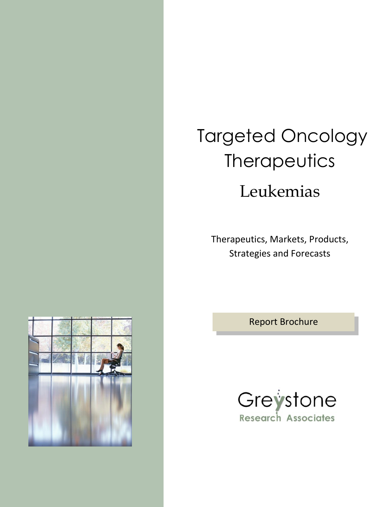# Targeted Oncology **Therapeutics**

# Leukemias

Therapeutics, Markets, Products, Strategies and Forecasts

Report Brochure



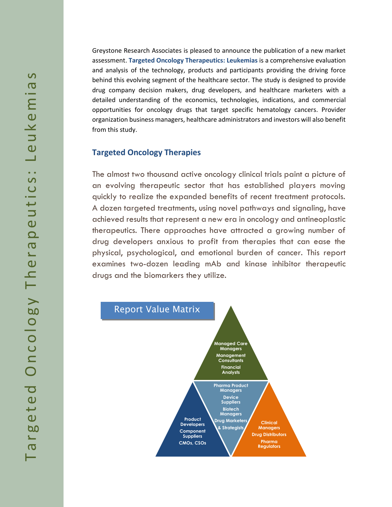Greystone Research Associates is pleased to announce the publication of a new market assessment. **Targeted Oncology Therapeutics: Leukemias** is a comprehensive evaluation and analysis of the technology, products and participants providing the driving force behind this evolving segment of the healthcare sector. The study is designed to provide drug company decision makers, drug developers, and healthcare marketers with a detailed understanding of the economics, technologies, indications, and commercial opportunities for oncology drugs that target specific hematology cancers. Provider organization business managers, healthcare administrators and investors will also benefit from this study.

#### **Targeted Oncology Therapies**

The almost two thousand active oncology clinical trials paint a picture of an evolving therapeutic sector that has established players moving quickly to realize the expanded benefits of recent treatment protocols. A dozen targeted treatments, using novel pathways and signaling, have achieved results that represent a new era in oncology and antineoplastic therapeutics. There approaches have attracted a growing number of drug developers anxious to profit from therapies that can ease the physical, psychological, and emotional burden of cancer. This report examines two-dozen leading mAb and kinase inhibitor therapeutic drugs and the biomarkers they utilize.

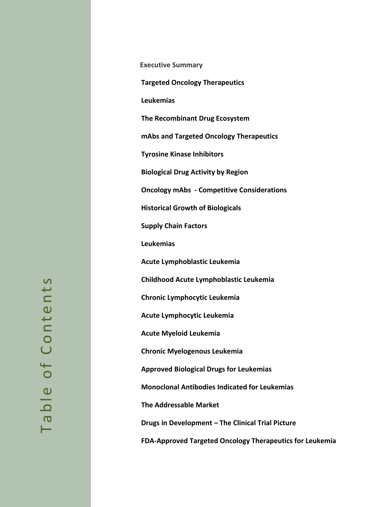**Executive Summary Targeted Oncology Therapeutics Leukemias The Recombinant Drug Ecosystem mAbs and Targeted Oncology Therapeutics Tyrosine Kinase Inhibitors Biological Drug Activity by Region Oncology mAbs - Competitive Considerations Historical Growth of Biologicals Supply Chain Factors Leukemias Acute Lymphoblastic Leukemia Childhood Acute Lymphoblastic Leukemia Chronic Lymphocytic Leukemia Acute Lymphocytic Leukemia Acute Myeloid Leukemia Chronic Myelogenous Leukemia Approved Biological Drugs for Leukemias Monoclonal Antibodies Indicated for Leukemias The Addressable Market Drugs in Development – The Clinical Trial Picture FDA-Approved Targeted Oncology Therapeutics for Leukemia**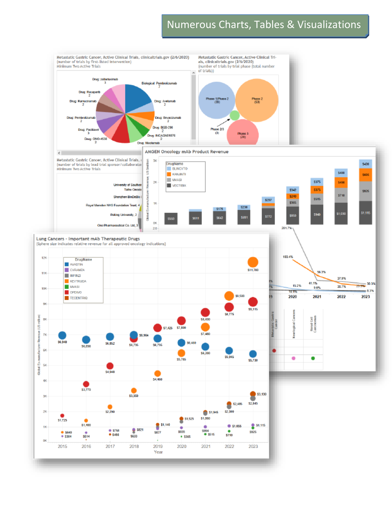## Numerous Charts, Tables & Visualizations

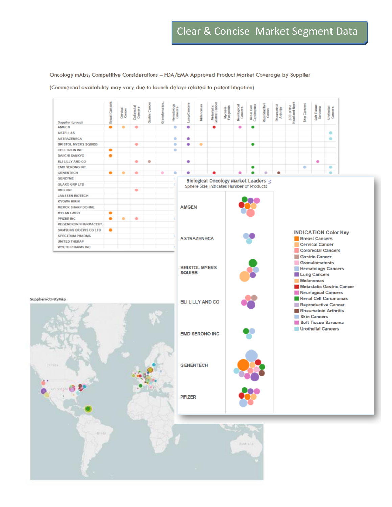Oncology mAbs; Competitive Considerations - FDA/EMA Approved Product Market Coverage by Supplier

(Commercial availability may vary due to launch delays related to patent litigation)

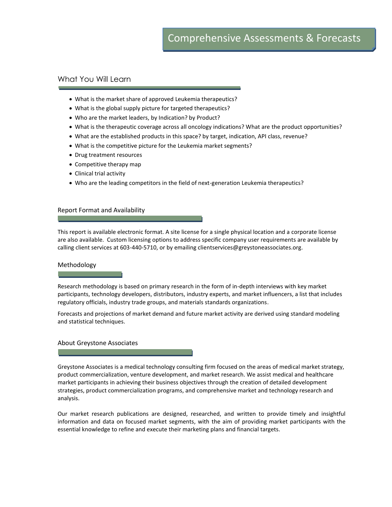#### What You Will Learn

- What is the market share of approved Leukemia therapeutics?
- What is the global supply picture for targeted therapeutics?
- Who are the market leaders, by Indication? by Product?
- What is the therapeutic coverage across all oncology indications? What are the product opportunities?
- What are the established products in this space? by target, indication, API class, revenue?
- What is the competitive picture for the Leukemia market segments?
- Drug treatment resources
- Competitive therapy map
- Clinical trial activity
- Who are the leading competitors in the field of next-generation Leukemia therapeutics?

#### Report Format and Availability

This report is available electronic format. A site license for a single physical location and a corporate license are also available. Custom licensing options to address specific company user requirements are available by calling client services at 603-440-5710, or by emailing clientservices@greystoneassociates.org.

#### Methodology

Research methodology is based on primary research in the form of in-depth interviews with key market participants, technology developers, distributors, industry experts, and market influencers, a list that includes regulatory officials, industry trade groups, and materials standards organizations.

Forecasts and projections of market demand and future market activity are derived using standard modeling and statistical techniques.

#### About Greystone Associates

Greystone Associates is a medical technology consulting firm focused on the areas of medical market strategy, product commercialization, venture development, and market research. We assist medical and healthcare market participants in achieving their business objectives through the creation of detailed development strategies, product commercialization programs, and comprehensive market and technology research and analysis.

Our market research publications are designed, researched, and written to provide timely and insightful information and data on focused market segments, with the aim of providing market participants with the essential knowledge to refine and execute their marketing plans and financial targets.